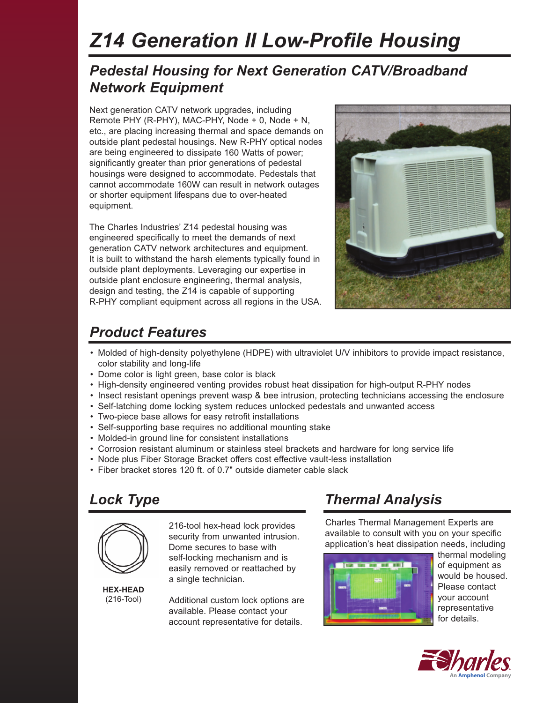# *Z14 Generation II Low-Profile Housing*

## *Pedestal Housing for Next Generation CATV/Broadband Network Equipment*

Next generation CATV network upgrades, including Remote PHY (R-PHY), MAC-PHY, Node + 0, Node + N, etc., are placing increasing thermal and space demands on outside plant pedestal housings. New R-PHY optical nodes are being engineered to dissipate 160 Watts of power; significantly greater than prior generations of pedestal housings were designed to accommodate. Pedestals that cannot accommodate 160W can result in network outages or shorter equipment lifespans due to over-heated equipment.

The Charles Industries' Z14 pedestal housing was engineered specifically to meet the demands of next generation CATV network architectures and equipment. It is built to withstand the harsh elements typically found in outside plant deployments. Leveraging our expertise in outside plant enclosure engineering, thermal analysis, design and testing, the Z14 is capable of supporting R-PHY compliant equipment across all regions in the USA.



## *Product Features*

- Molded of high-density polyethylene (HDPE) with ultraviolet U/V inhibitors to provide impact resistance, color stability and long-life
- Dome color is light green, base color is black
- High-density engineered venting provides robust heat dissipation for high-output R-PHY nodes
- Insect resistant openings prevent wasp & bee intrusion, protecting technicians accessing the enclosure
- Self-latching dome locking system reduces unlocked pedestals and unwanted access
- Two-piece base allows for easy retrofit installations
- Self-supporting base requires no additional mounting stake
- Molded-in ground line for consistent installations
- Corrosion resistant aluminum or stainless steel brackets and hardware for long service life
- Node plus Fiber Storage Bracket offers cost effective vault-less installation
- Fiber bracket stores 120 ft. of 0.7" outside diameter cable slack

# *Lock Type*



216-tool hex-head lock provides security from unwanted intrusion. Dome secures to base with self-locking mechanism and is easily removed or reattached by a single technician.

**HEX-HEAD** (216-Tool)

Additional custom lock options are available. Please contact your account representative for details.

# *Thermal Analysis*

Charles Thermal Management Experts are available to consult with you on your specific application's heat dissipation needs, including



thermal modeling of equipment as would be housed. Please contact your account representative for details.

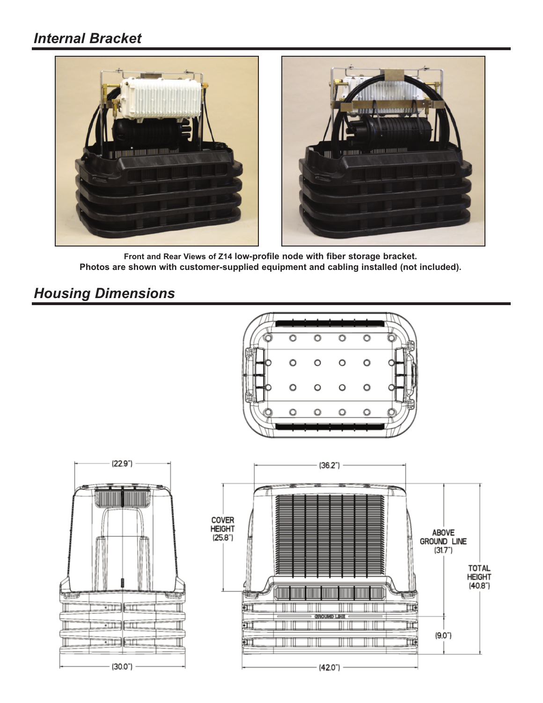#### *Internal Bracket*



**Front and Rear Views of Z14 low-profile node with fiber storage bracket. Photos are shown with customer-supplied equipment and cabling installed (not included).**

## *Housing Dimensions*